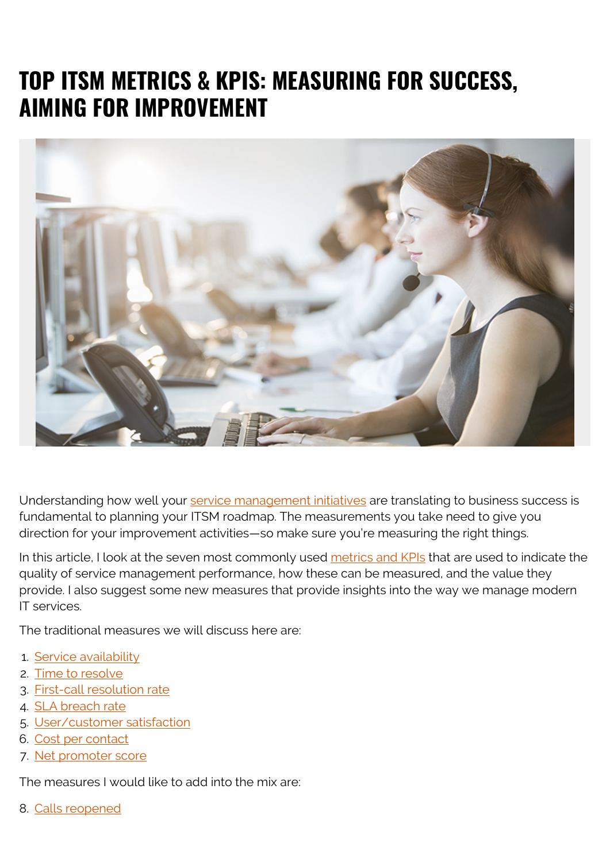# **TOP ITSM METRICS & KPIS: MEASURING FOR SUCCESS, AIMING FOR IMPROVEMENT**



Understanding how well your [service management initiatives](https://blogs.bmc.com/blogs/how-to-build-your-case-for-investment-in-itsm/) are translating to business success is fundamental to planning your ITSM roadmap. The measurements you take need to give you direction for your improvement activities—so make sure you're measuring the right things.

In this article, I look at the seven most commonly used [metrics and KPIs](https://blogs.bmc.com/blogs/it-metrics-kpis/) that are used to indicate the quality of service management performance, how these can be measured, and the value they provide. I also suggest some new measures that provide insights into the way we manage modern IT services.

The traditional measures we will discuss here are:

- 1. [Service availability](#page--1-0)
- 2. [Time to resolve](#page--1-0)
- 3. [First-call resolution rate](#page--1-0)
- 4. [SLA breach rate](#page--1-0)
- 5. [User/customer satisfaction](#page--1-0)
- 6. [Cost per contact](#page--1-0)
- 7. [Net promoter score](#page--1-0)

The measures I would like to add into the mix are:

8. [Calls reopened](#page--1-0)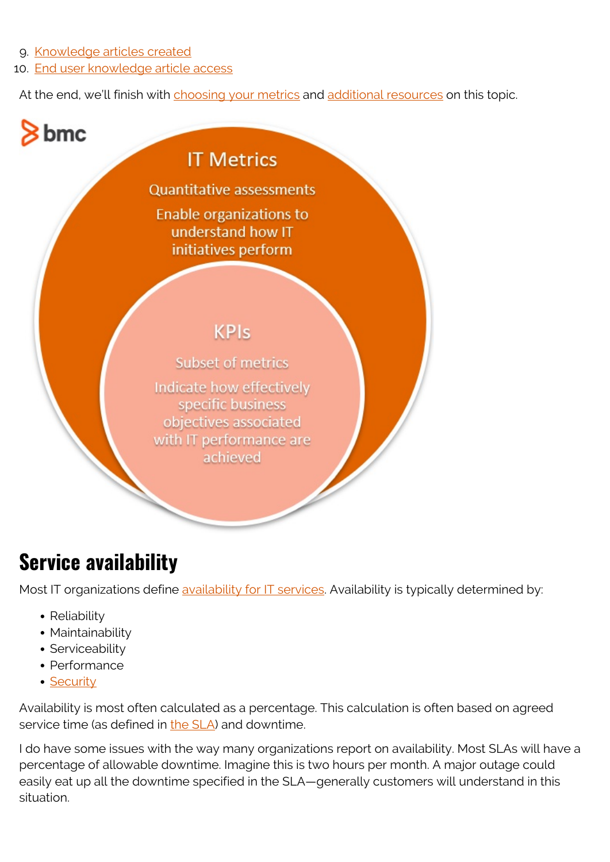9. [Knowledge articles created](#page--1-0)

bmc

10. [End user knowledge article access](#page--1-0)

At the end, we'll finish with [choosing your metrics](#page--1-0) and [additional resources](#page--1-0) on this topic.

#### **IT Metrics**

**Quantitative assessments** Enable organizations to understand how IT initiatives perform

#### **KPIs**

**Subset of metrics** Indicate how effectively specific business objectives associated with IT performance are achieved

### **Service availability**

Most IT organizations define [availability for IT services.](https://blogs.bmc.com/blogs/service-availability-calculation-metrics/) Availability is typically determined by:

- Reliability
- Maintainability
- Serviceability
- Performance
- [Security](https://blogs.bmc.com/blogs/security-vulnerability-vs-threat-vs-risk-whats-difference/)

Availability is most often calculated as a percentage. This calculation is often based on agreed service time (as defined in [the SLA\)](https://blogs.bmc.com/blogs/sla-template-examples/) and downtime.

I do have some issues with the way many organizations report on availability. Most SLAs will have a percentage of allowable downtime. Imagine this is two hours per month. A major outage could easily eat up all the downtime specified in the SLA—generally customers will understand in this situation.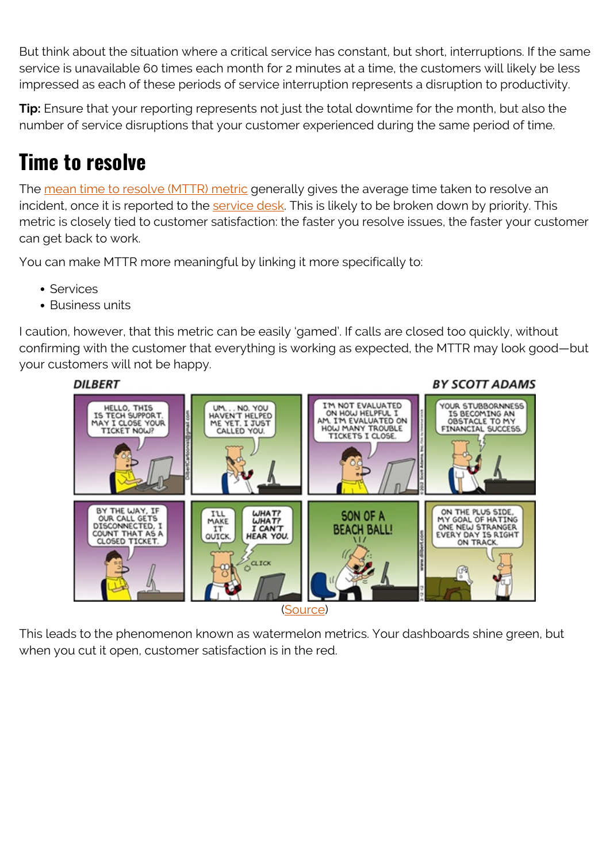But think about the situation where a critical service has constant, but short, interruptions. If the same service is unavailable 60 times each month for 2 minutes at a time, the customers will likely be less impressed as each of these periods of service interruption represents a disruption to productivity.

**Tip:** Ensure that your reporting represents not just the total downtime for the month, but also the number of service disruptions that your customer experienced during the same period of time.

# **Time to resolve**

The [mean time to resolve \(MTTR\) metric](https://blogs.bmc.com/blogs/mttr-mean-time-to-resolve/) generally gives the average time taken to resolve an incident, once it is reported to the [service desk](https://blogs.bmc.com/blogs/help-desk-vs-service-desk-whats-difference/). This is likely to be broken down by priority. This metric is closely tied to customer satisfaction: the faster you resolve issues, the faster your customer can get back to work.

You can make MTTR more meaningful by linking it more specifically to:

- Services
- Business units

I caution, however, that this metric can be easily 'gamed'. If calls are closed too quickly, without confirming with the customer that everything is working as expected, the MTTR may look good—but your customers will not be happy.



This leads to the phenomenon known as watermelon metrics. Your dashboards shine green, but when you cut it open, customer satisfaction is in the red.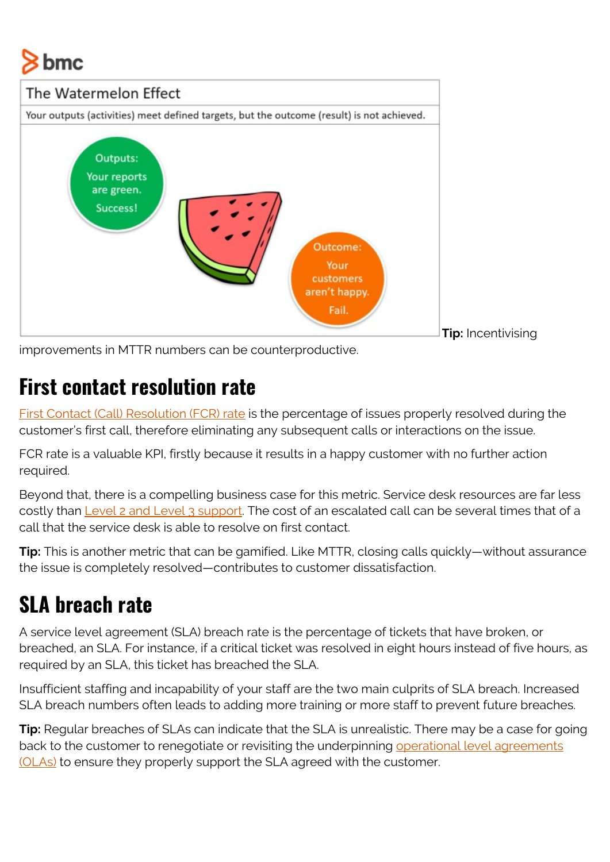# bmc



improvements in MTTR numbers can be counterproductive.

#### **First contact resolution rate**

[First Contact \(Call\) Resolution \(FCR\) rate](https://blogs.bmc.com/blogs/first-contact-resolution-for-improved-customer-satisfaction/) is the percentage of issues properly resolved during the customer's first call, therefore eliminating any subsequent calls or interactions on the issue.

FCR rate is a valuable KPI, firstly because it results in a happy customer with no further action required.

Beyond that, there is a compelling business case for this metric. Service desk resources are far less costly than [Level 2 and Level 3 support](https://blogs.bmc.com/blogs/support-levels-level-1-level-2-level-3/). The cost of an escalated call can be several times that of a call that the service desk is able to resolve on first contact.

**Tip:** This is another metric that can be gamified. Like MTTR, closing calls quickly—without assurance the issue is completely resolved—contributes to customer dissatisfaction.

# **SLA breach rate**

A service level agreement (SLA) breach rate is the percentage of tickets that have broken, or breached, an SLA. For instance, if a critical ticket was resolved in eight hours instead of five hours, as required by an SLA, this ticket has breached the SLA.

Insufficient staffing and incapability of your staff are the two main culprits of SLA breach. Increased SLA breach numbers often leads to adding more training or more staff to prevent future breaches.

**Tip:** Regular breaches of SLAs can indicate that the SLA is unrealistic. There may be a case for going back to the customer to renegotiate or revisiting the underpinning [operational level agreements](https://blogs.bmc.com/blogs/ola-operational-level-agreement/) [\(OLAs\)](https://blogs.bmc.com/blogs/ola-operational-level-agreement/) to ensure they properly support the SLA agreed with the customer.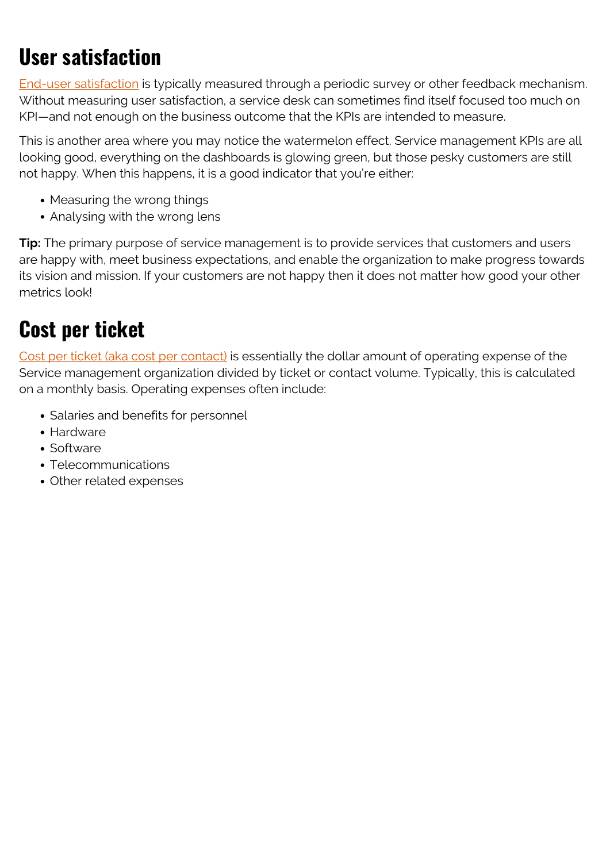# **User satisfaction**

[End-user satisfaction](https://blogs.bmc.com/blogs/customer-satisfaction-csat-service-desk-metric/) is typically measured through a periodic survey or other feedback mechanism. Without measuring user satisfaction, a service desk can sometimes find itself focused too much on KPI—and not enough on the business outcome that the KPIs are intended to measure.

This is another area where you may notice the watermelon effect. Service management KPIs are all looking good, everything on the dashboards is glowing green, but those pesky customers are still not happy. When this happens, it is a good indicator that you're either:

- Measuring the wrong things
- Analysing with the wrong lens

**Tip:** The primary purpose of service management is to provide services that customers and users are happy with, meet business expectations, and enable the organization to make progress towards its vision and mission. If your customers are not happy then it does not matter how good your other metrics look!

#### **Cost per ticket**

[Cost per ticket \(aka cost per contact\)](https://blogs.bmc.com/blogs/cost-per-ticket/) is essentially the dollar amount of operating expense of the Service management organization divided by ticket or contact volume. Typically, this is calculated on a monthly basis. Operating expenses often include:

- Salaries and benefits for personnel
- Hardware
- Software
- Telecommunications
- Other related expenses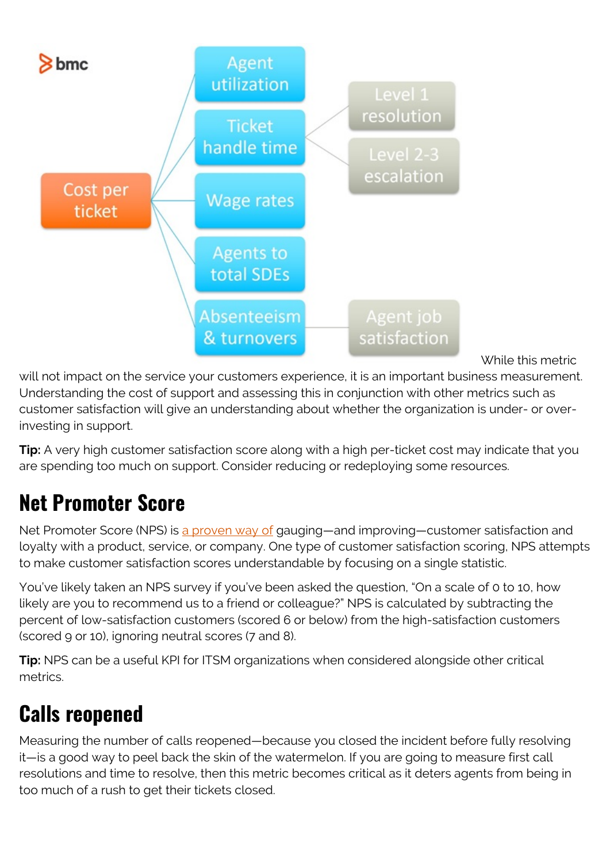

While this metric

will not impact on the service your customers experience, it is an important business measurement. Understanding the cost of support and assessing this in conjunction with other metrics such as customer satisfaction will give an understanding about whether the organization is under- or overinvesting in support.

**Tip:** A very high customer satisfaction score along with a high per-ticket cost may indicate that you are spending too much on support. Consider reducing or redeploying some resources.

# **Net Promoter Score**

Net Promoter Score (NPS) is [a proven way of](https://blog.hubspot.com/service/net-promoter-score-results) gauging—and improving—customer satisfaction and loyalty with a product, service, or company. One type of customer satisfaction scoring, NPS attempts to make customer satisfaction scores understandable by focusing on a single statistic.

You've likely taken an NPS survey if you've been asked the question, "On a scale of 0 to 10, how likely are you to recommend us to a friend or colleague?" NPS is calculated by subtracting the percent of low-satisfaction customers (scored 6 or below) from the high-satisfaction customers (scored 9 or 10), ignoring neutral scores (7 and 8).

**Tip:** NPS can be a useful KPI for ITSM organizations when considered alongside other critical metrics.

# **Calls reopened**

Measuring the number of calls reopened—because you closed the incident before fully resolving it—is a good way to peel back the skin of the watermelon. If you are going to measure first call resolutions and time to resolve, then this metric becomes critical as it deters agents from being in too much of a rush to get their tickets closed.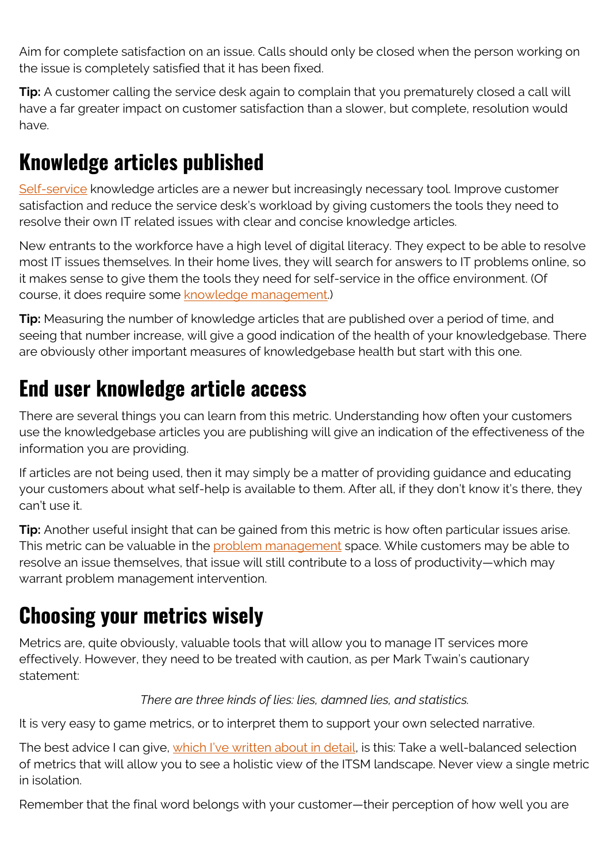Aim for complete satisfaction on an issue. Calls should only be closed when the person working on the issue is completely satisfied that it has been fixed.

**Tip:** A customer calling the service desk again to complain that you prematurely closed a call will have a far greater impact on customer satisfaction than a slower, but complete, resolution would have.

# **Knowledge articles published**

[Self-service](https://blogs.bmc.com/blogs/it-self-service-portal/) knowledge articles are a newer but increasingly necessary tool. Improve customer satisfaction and reduce the service desk's workload by giving customers the tools they need to resolve their own IT related issues with clear and concise knowledge articles.

New entrants to the workforce have a high level of digital literacy. They expect to be able to resolve most IT issues themselves. In their home lives, they will search for answers to IT problems online, so it makes sense to give them the tools they need for self-service in the office environment. (Of course, it does require some [knowledge management.](https://blogs.bmc.com/blogs/knowledge-management-best-practices/))

**Tip:** Measuring the number of knowledge articles that are published over a period of time, and seeing that number increase, will give a good indication of the health of your knowledgebase. There are obviously other important measures of knowledgebase health but start with this one.

# **End user knowledge article access**

There are several things you can learn from this metric. Understanding how often your customers use the knowledgebase articles you are publishing will give an indication of the effectiveness of the information you are providing.

If articles are not being used, then it may simply be a matter of providing guidance and educating your customers about what self-help is available to them. After all, if they don't know it's there, they can't use it.

**Tip:** Another useful insight that can be gained from this metric is how often particular issues arise. This metric can be valuable in the [problem management](https://blogs.bmc.com/blogs/incident-management-vs-problem-management-whats-the-difference/) space. While customers may be able to resolve an issue themselves, that issue will still contribute to a loss of productivity—which may warrant problem management intervention.

### **Choosing your metrics wisely**

Metrics are, quite obviously, valuable tools that will allow you to manage IT services more effectively. However, they need to be treated with caution, as per Mark Twain's cautionary statement:

#### *There are three kinds of lies: lies, damned lies, and statistics.*

It is very easy to game metrics, or to interpret them to support your own selected narrative.

The best advice I can give, [which I've written about in detail](https://blogs.bmc.com/blogs/it-metrics/), is this: Take a well-balanced selection of metrics that will allow you to see a holistic view of the ITSM landscape. Never view a single metric in isolation.

Remember that the final word belongs with your customer—their perception of how well you are